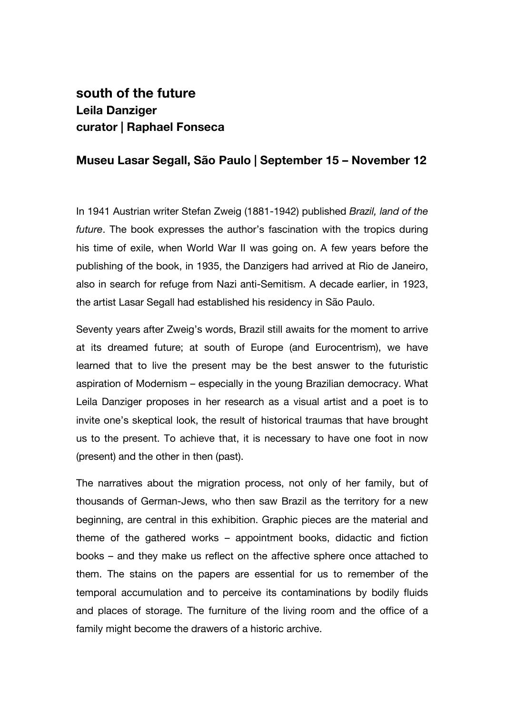## **south of the future Leila Danziger curator | Raphael Fonseca**

## **Museu Lasar Segall, São Paulo | September 15 – November 12**

In 1941 Austrian writer Stefan Zweig (1881-1942) published *Brazil, land of the future*. The book expresses the author's fascination with the tropics during his time of exile, when World War II was going on. A few years before the publishing of the book, in 1935, the Danzigers had arrived at Rio de Janeiro, also in search for refuge from Nazi anti-Semitism. A decade earlier, in 1923, the artist Lasar Segall had established his residency in São Paulo.

Seventy years after Zweig's words, Brazil still awaits for the moment to arrive at its dreamed future; at south of Europe (and Eurocentrism), we have learned that to live the present may be the best answer to the futuristic aspiration of Modernism – especially in the young Brazilian democracy. What Leila Danziger proposes in her research as a visual artist and a poet is to invite one's skeptical look, the result of historical traumas that have brought us to the present. To achieve that, it is necessary to have one foot in now (present) and the other in then (past).

The narratives about the migration process, not only of her family, but of thousands of German-Jews, who then saw Brazil as the territory for a new beginning, are central in this exhibition. Graphic pieces are the material and theme of the gathered works – appointment books, didactic and fiction books – and they make us reflect on the affective sphere once attached to them. The stains on the papers are essential for us to remember of the temporal accumulation and to perceive its contaminations by bodily fluids and places of storage. The furniture of the living room and the office of a family might become the drawers of a historic archive.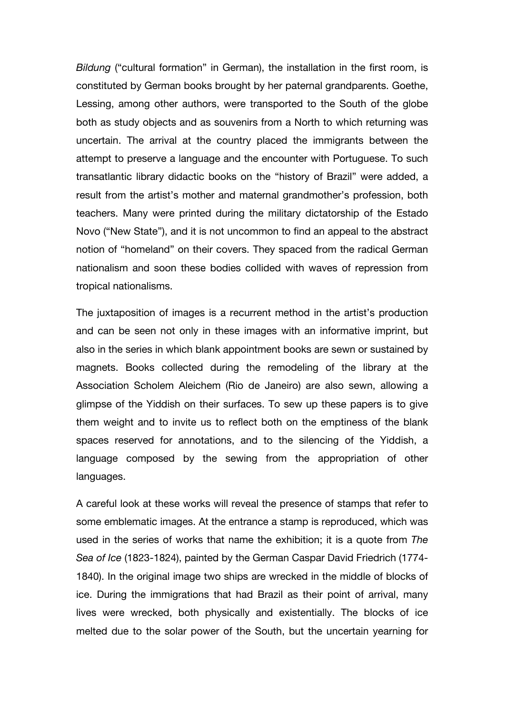*Bildung* ("cultural formation" in German), the installation in the first room, is constituted by German books brought by her paternal grandparents. Goethe, Lessing, among other authors, were transported to the South of the globe both as study objects and as souvenirs from a North to which returning was uncertain. The arrival at the country placed the immigrants between the attempt to preserve a language and the encounter with Portuguese. To such transatlantic library didactic books on the "history of Brazil" were added, a result from the artist's mother and maternal grandmother's profession, both teachers. Many were printed during the military dictatorship of the Estado Novo ("New State"), and it is not uncommon to find an appeal to the abstract notion of "homeland" on their covers. They spaced from the radical German nationalism and soon these bodies collided with waves of repression from tropical nationalisms.

The juxtaposition of images is a recurrent method in the artist's production and can be seen not only in these images with an informative imprint, but also in the series in which blank appointment books are sewn or sustained by magnets. Books collected during the remodeling of the library at the Association Scholem Aleichem (Rio de Janeiro) are also sewn, allowing a glimpse of the Yiddish on their surfaces. To sew up these papers is to give them weight and to invite us to reflect both on the emptiness of the blank spaces reserved for annotations, and to the silencing of the Yiddish, a language composed by the sewing from the appropriation of other languages.

A careful look at these works will reveal the presence of stamps that refer to some emblematic images. At the entrance a stamp is reproduced, which was used in the series of works that name the exhibition; it is a quote from *The Sea of Ice* (1823-1824), painted by the German Caspar David Friedrich (1774- 1840). In the original image two ships are wrecked in the middle of blocks of ice. During the immigrations that had Brazil as their point of arrival, many lives were wrecked, both physically and existentially. The blocks of ice melted due to the solar power of the South, but the uncertain yearning for